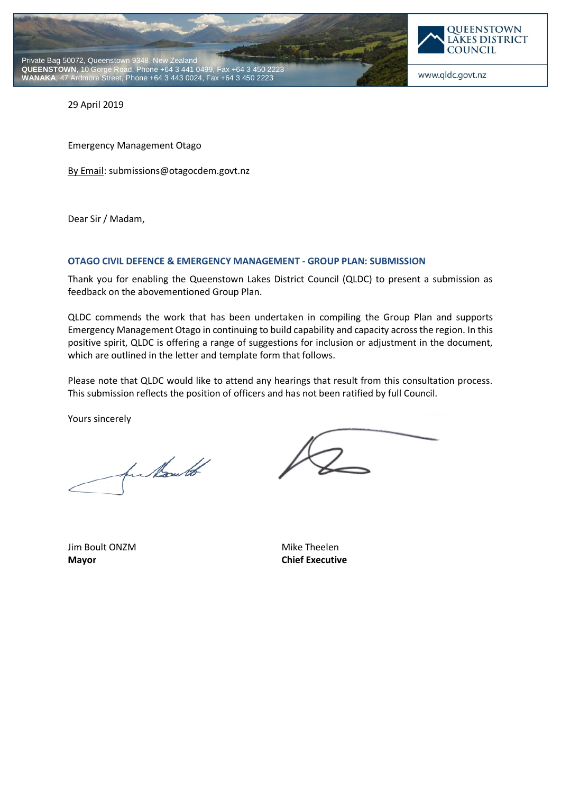



www.qldc.govt.nz

29 April 2019

Emergency Management Otago

By Email: submissions@otagocdem.govt.nz

Dear Sir / Madam,

#### **OTAGO CIVIL DEFENCE & EMERGENCY MANAGEMENT - GROUP PLAN: SUBMISSION**

Thank you for enabling the Queenstown Lakes District Council (QLDC) to present a submission as feedback on the abovementioned Group Plan.

QLDC commends the work that has been undertaken in compiling the Group Plan and supports Emergency Management Otago in continuing to build capability and capacity across the region. In this positive spirit, QLDC is offering a range of suggestions for inclusion or adjustment in the document, which are outlined in the letter and template form that follows.

Please note that QLDC would like to attend any hearings that result from this consultation process. This submission reflects the position of officers and has not been ratified by full Council.

Yours sincerely

funkaut

Jim Boult ONZM Mike Theelen **Mayor Chief Executive**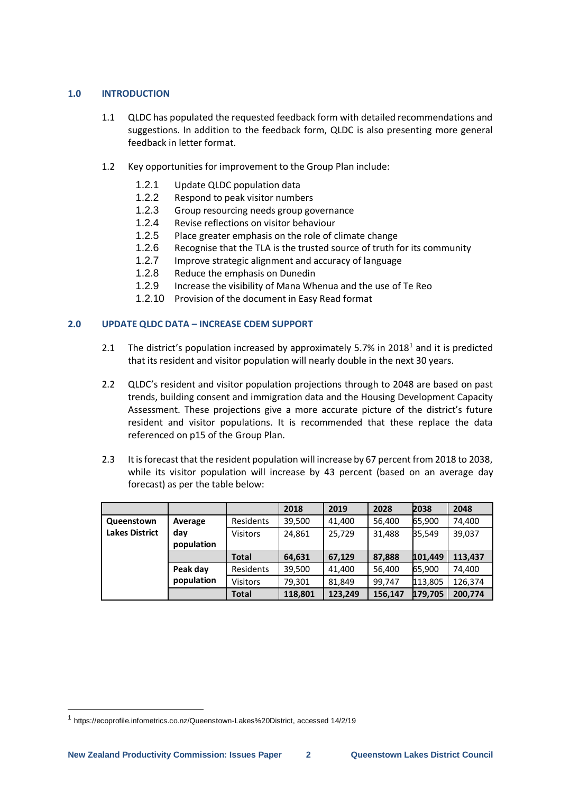# **1.0 INTRODUCTION**

- 1.1 QLDC has populated the requested feedback form with detailed recommendations and suggestions. In addition to the feedback form, QLDC is also presenting more general feedback in letter format.
- 1.2 Key opportunities for improvement to the Group Plan include:
	- 1.2.1 Update QLDC population data
	- 1.2.2 Respond to peak visitor numbers
	- 1.2.3 Group resourcing needs group governance
	- 1.2.4 Revise reflections on visitor behaviour
	- 1.2.5 Place greater emphasis on the role of climate change
	- 1.2.6 Recognise that the TLA is the trusted source of truth for its community
	- 1.2.7 Improve strategic alignment and accuracy of language
	- 1.2.8 Reduce the emphasis on Dunedin
	- 1.2.9 Increase the visibility of Mana Whenua and the use of Te Reo
	- 1.2.10 Provision of the document in Easy Read format

# **2.0 UPDATE QLDC DATA – INCREASE CDEM SUPPORT**

- 2.1 The district's population increased by approximately 5.7% in 2018<sup>1</sup> and it is predicted that its resident and visitor population will nearly double in the next 30 years.
- 2.2 QLDC's resident and visitor population projections through to 2048 are based on past trends, building consent and immigration data and the Housing Development Capacity Assessment. These projections give a more accurate picture of the district's future resident and visitor populations. It is recommended that these replace the data referenced on p15 of the Group Plan.
- 2.3 It is forecast that the resident population will increase by 67 percent from 2018 to 2038, while its visitor population will increase by 43 percent (based on an average day forecast) as per the table below:

|                       |            |                 | 2018    | 2019    | 2028    | 2038    | 2048    |
|-----------------------|------------|-----------------|---------|---------|---------|---------|---------|
| Queenstown            | Average    | Residents       | 39,500  | 41,400  | 56,400  | 65,900  | 74,400  |
| <b>Lakes District</b> | day        | <b>Visitors</b> | 24,861  | 25,729  | 31,488  | 35.549  | 39,037  |
|                       | population |                 |         |         |         |         |         |
|                       |            | <b>Total</b>    | 64,631  | 67,129  | 87,888  | 101,449 | 113,437 |
|                       | Peak day   | Residents       | 39,500  | 41,400  | 56,400  | 65,900  | 74,400  |
|                       | population | <b>Visitors</b> | 79,301  | 81,849  | 99,747  | 113,805 | 126,374 |
|                       |            | <b>Total</b>    | 118.801 | 123.249 | 156,147 | 179,705 | 200,774 |

-

<sup>1</sup> [https://ecoprofile.infometrics.co.nz/Queenstown-Lakes%20District,](https://ecoprofile.infometrics.co.nz/Queenstown-Lakes%20District) accessed 14/2/19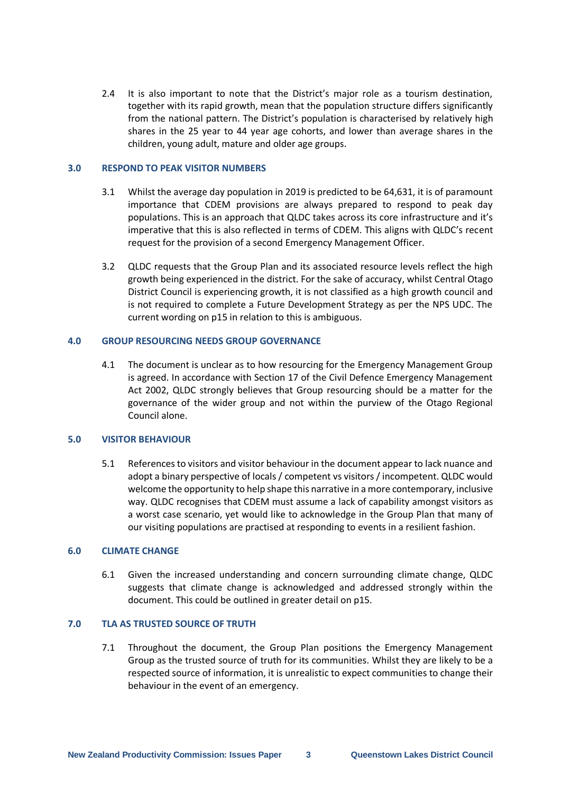2.4 It is also important to note that the District's major role as a tourism destination, together with its rapid growth, mean that the population structure differs significantly from the national pattern. The District's population is characterised by relatively high shares in the 25 year to 44 year age cohorts, and lower than average shares in the children, young adult, mature and older age groups.

#### **3.0 RESPOND TO PEAK VISITOR NUMBERS**

- 3.1 Whilst the average day population in 2019 is predicted to be 64,631, it is of paramount importance that CDEM provisions are always prepared to respond to peak day populations. This is an approach that QLDC takes across its core infrastructure and it's imperative that this is also reflected in terms of CDEM. This aligns with QLDC's recent request for the provision of a second Emergency Management Officer.
- 3.2 QLDC requests that the Group Plan and its associated resource levels reflect the high growth being experienced in the district. For the sake of accuracy, whilst Central Otago District Council is experiencing growth, it is not classified as a high growth council and is not required to complete a Future Development Strategy as per the NPS UDC. The current wording on p15 in relation to this is ambiguous.

## **4.0 GROUP RESOURCING NEEDS GROUP GOVERNANCE**

4.1 The document is unclear as to how resourcing for the Emergency Management Group is agreed. In accordance with Section 17 of the Civil Defence Emergency Management Act 2002, QLDC strongly believes that Group resourcing should be a matter for the governance of the wider group and not within the purview of the Otago Regional Council alone.

# **5.0 VISITOR BEHAVIOUR**

5.1 References to visitors and visitor behaviour in the document appear to lack nuance and adopt a binary perspective of locals / competent vs visitors / incompetent. QLDC would welcome the opportunity to help shape this narrative in a more contemporary, inclusive way. QLDC recognises that CDEM must assume a lack of capability amongst visitors as a worst case scenario, yet would like to acknowledge in the Group Plan that many of our visiting populations are practised at responding to events in a resilient fashion.

## **6.0 CLIMATE CHANGE**

6.1 Given the increased understanding and concern surrounding climate change, QLDC suggests that climate change is acknowledged and addressed strongly within the document. This could be outlined in greater detail on p15.

# **7.0 TLA AS TRUSTED SOURCE OF TRUTH**

7.1 Throughout the document, the Group Plan positions the Emergency Management Group as the trusted source of truth for its communities. Whilst they are likely to be a respected source of information, it is unrealistic to expect communities to change their behaviour in the event of an emergency.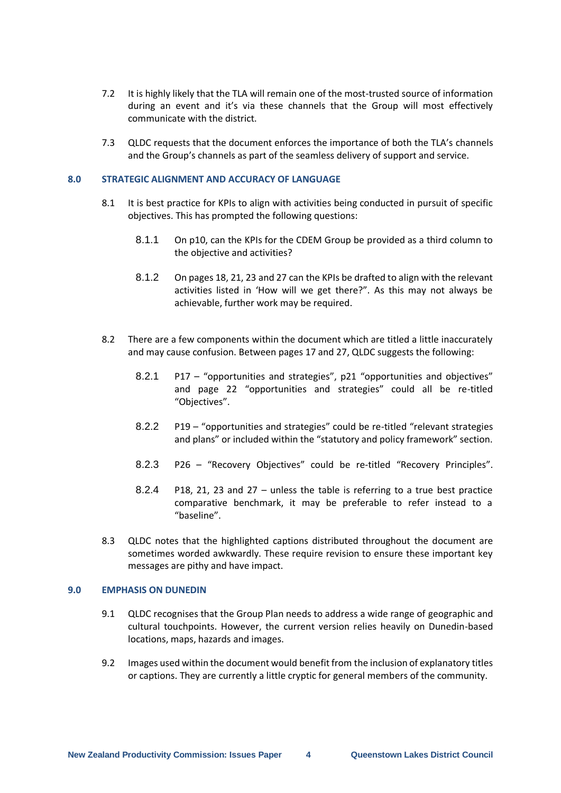- 7.2 It is highly likely that the TLA will remain one of the most-trusted source of information during an event and it's via these channels that the Group will most effectively communicate with the district.
- 7.3 QLDC requests that the document enforces the importance of both the TLA's channels and the Group's channels as part of the seamless delivery of support and service.

### **8.0 STRATEGIC ALIGNMENT AND ACCURACY OF LANGUAGE**

- 8.1 It is best practice for KPIs to align with activities being conducted in pursuit of specific objectives. This has prompted the following questions:
	- 8.1.1 On p10, can the KPIs for the CDEM Group be provided as a third column to the objective and activities?
	- 8.1.2 On pages 18, 21, 23 and 27 can the KPIs be drafted to align with the relevant activities listed in 'How will we get there?". As this may not always be achievable, further work may be required.
- 8.2 There are a few components within the document which are titled a little inaccurately and may cause confusion. Between pages 17 and 27, QLDC suggests the following:
	- 8.2.1 P17 "opportunities and strategies", p21 "opportunities and objectives" and page 22 "opportunities and strategies" could all be re-titled "Objectives".
	- 8.2.2 P19 "opportunities and strategies" could be re-titled "relevant strategies and plans" or included within the "statutory and policy framework" section.
	- 8.2.3 P26 "Recovery Objectives" could be re-titled "Recovery Principles".
	- 8.2.4 P18, 21, 23 and 27 unless the table is referring to a true best practice comparative benchmark, it may be preferable to refer instead to a "baseline".
- 8.3 QLDC notes that the highlighted captions distributed throughout the document are sometimes worded awkwardly. These require revision to ensure these important key messages are pithy and have impact.

#### **9.0 EMPHASIS ON DUNEDIN**

- 9.1 QLDC recognises that the Group Plan needs to address a wide range of geographic and cultural touchpoints. However, the current version relies heavily on Dunedin-based locations, maps, hazards and images.
- 9.2 Images used within the document would benefit from the inclusion of explanatory titles or captions. They are currently a little cryptic for general members of the community.